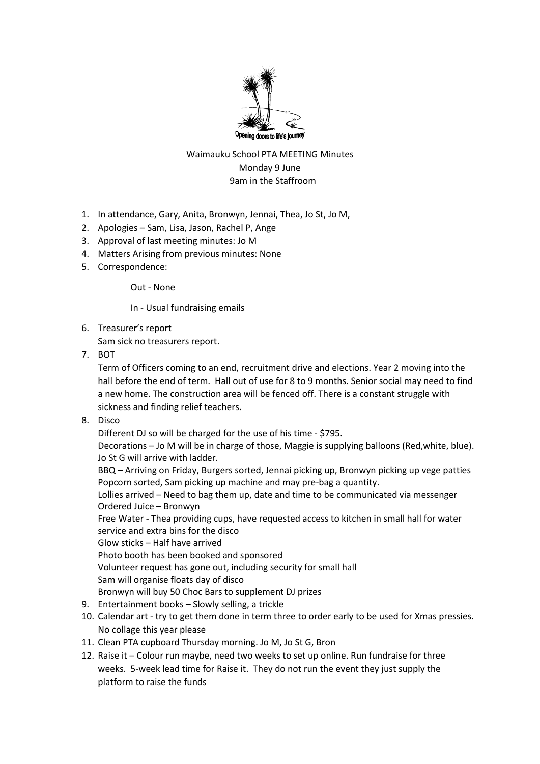

## Waimauku School PTA MEETING Minutes Monday 9 June 9am in the Staffroom

- 1. In attendance, Gary, Anita, Bronwyn, Jennai, Thea, Jo St, Jo M,
- 2. Apologies Sam, Lisa, Jason, Rachel P, Ange
- 3. Approval of last meeting minutes: Jo M
- 4. Matters Arising from previous minutes: None
- 5. Correspondence:

Out - None

In - Usual fundraising emails

6. Treasurer's report

Sam sick no treasurers report.

7. BOT

Term of Officers coming to an end, recruitment drive and elections. Year 2 moving into the hall before the end of term. Hall out of use for 8 to 9 months. Senior social may need to find a new home. The construction area will be fenced off. There is a constant struggle with sickness and finding relief teachers.

8. Disco

Different DJ so will be charged for the use of his time - \$795.

Decorations – Jo M will be in charge of those, Maggie is supplying balloons (Red,white, blue). Jo St G will arrive with ladder.

BBQ – Arriving on Friday, Burgers sorted, Jennai picking up, Bronwyn picking up vege patties Popcorn sorted, Sam picking up machine and may pre-bag a quantity.

Lollies arrived – Need to bag them up, date and time to be communicated via messenger Ordered Juice – Bronwyn

Free Water - Thea providing cups, have requested access to kitchen in small hall for water service and extra bins for the disco

Glow sticks – Half have arrived

Photo booth has been booked and sponsored

Volunteer request has gone out, including security for small hall

Sam will organise floats day of disco

Bronwyn will buy 50 Choc Bars to supplement DJ prizes

- 9. Entertainment books Slowly selling, a trickle
- 10. Calendar art try to get them done in term three to order early to be used for Xmas pressies. No collage this year please
- 11. Clean PTA cupboard Thursday morning. Jo M, Jo St G, Bron
- 12. Raise it Colour run maybe, need two weeks to set up online. Run fundraise for three weeks. 5-week lead time for Raise it. They do not run the event they just supply the platform to raise the funds